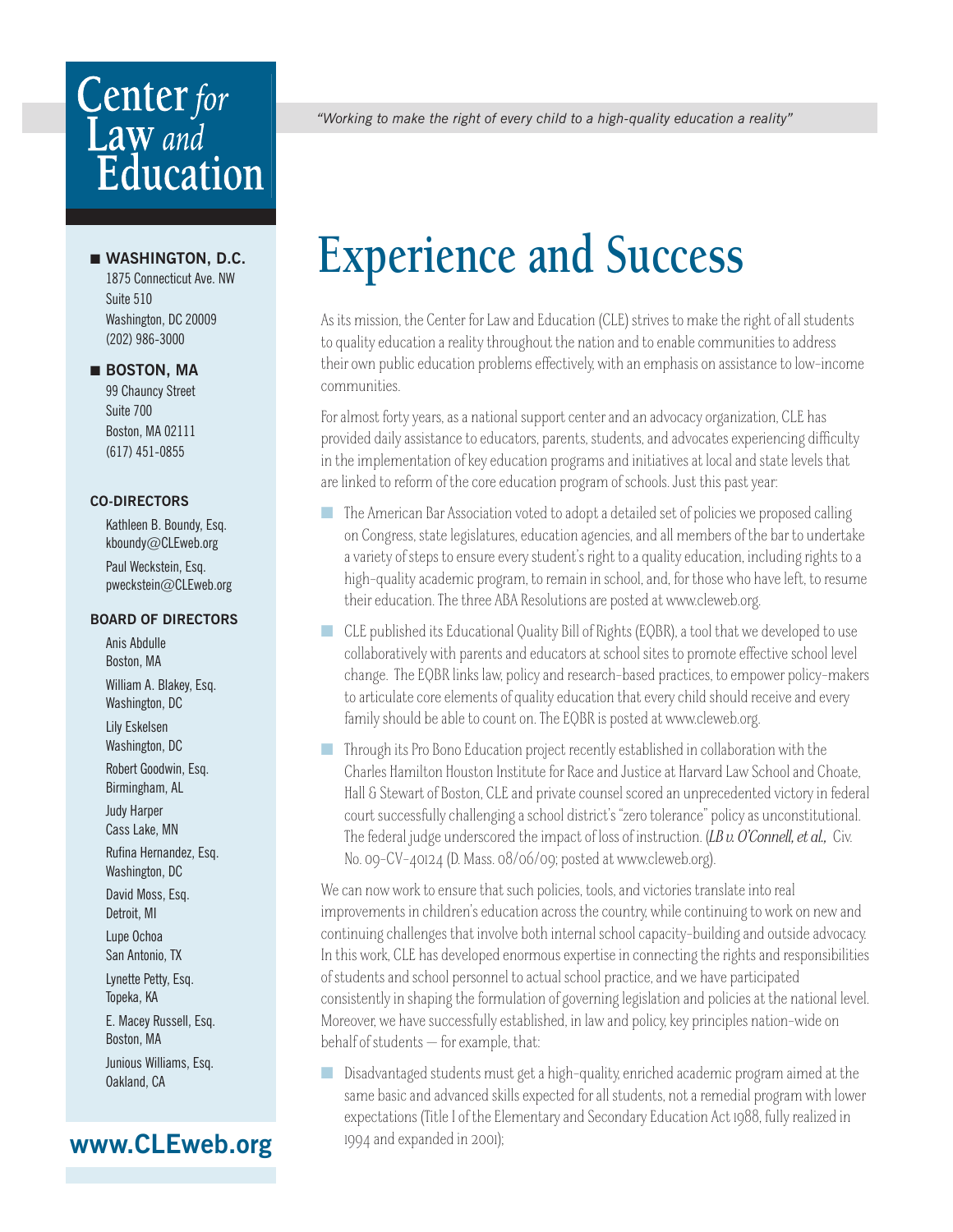# **Center** for Law and<br>Education

### ■ **WASHINGTON, D.C.**

 1875 Connecticut Ave. NW Suite 510 Washington, DC 20009 (202) 986-3000

### ■ **BOSTON, MA**

 99 Chauncy Street Suite 700 Boston, MA 02111 (617) 451-0855

### **CO-DIRECTORS**

 Kathleen B. Boundy, Esq. kboundy@CLEweb.org Paul Weckstein, Esq. pweckstein@CLEweb.org

### **BOARD OF DIRECTORS**

 Anis Abdulle Boston, MA William A. Blakey, Esq. Washington, DC Lily Eskelsen Washington, DC Robert Goodwin, Esq. Birmingham, AL Judy Harper Cass Lake, MN Rufina Hernandez, Esq. Washington, DC David Moss, Esq. Detroit, MI Lupe Ochoa San Antonio, TX Lynette Petty, Esq. Topeka, KA E. Macey Russell, Esq. Boston, MA Junious Williams, Esq. Oakland, CA

### **www.CLEweb.org**

*"Working to make the right of every child to a high-quality education a reality"*

## **Experience and Success**

As its mission, the Center for Law and Education (CLE) strives to make the right of all students to quality education a reality throughout the nation and to enable communities to address their own public education problems effectively, with an emphasis on assistance to low-income communities.

For almost forty years, as a national support center and an advocacy organization, CLE has provided daily assistance to educators, parents, students, and advocates experiencing difficulty in the implementation of key education programs and initiatives at local and state levels that are linked to reform of the core education program of schools. Just this past year:

- The American Bar Association voted to adopt a detailed set of policies we proposed calling on Congress, state legislatures, education agencies, and all members of the bar to undertake a variety of steps to ensure every student's right to a quality education, including rights to a high-quality academic program, to remain in school, and, for those who have left, to resume their education. The three ABA Resolutions are posted at www.cleweb.org.
- CLE published its Educational Quality Bill of Rights (EQBR), a tool that we developed to use collaboratively with parents and educators at school sites to promote effective school level change. The EQBR links law, policy and research-based practices, to empower policy-makers to articulate core elements of quality education that every child should receive and every family should be able to count on. The EQBR is posted at www.cleweb.org.
- Through its Pro Bono Education project recently established in collaboration with the Charles Hamilton Houston Institute for Race and Justice at Harvard Law School and Choate, Hall & Stewart of Boston, CLE and private counsel scored an unprecedented victory in federal court successfully challenging a school district's "zero tolerance" policy as unconstitutional. The federal judge underscored the impact of loss of instruction. (*LB v. O'Connell, et al.,* Civ. No. 09-CV-40124 (D. Mass. 08/06/09; posted at www.cleweb.org).

We can now work to ensure that such policies, tools, and victories translate into real improvements in children's education across the country, while continuing to work on new and continuing challenges that involve both internal school capacity-building and outside advocacy. In this work, CLE has developed enormous expertise in connecting the rights and responsibilities of students and school personnel to actual school practice, and we have participated consistently in shaping the formulation of governing legislation and policies at the national level. Moreover, we have successfully established, in law and policy, key principles nation-wide on behalf of students — for example, that:

■ Disadvantaged students must get a high-quality, enriched academic program aimed at the same basic and advanced skills expected for all students, not a remedial program with lower expectations (Title I of the Elementary and Secondary Education Act 1988, fully realized in 1994 and expanded in 2001);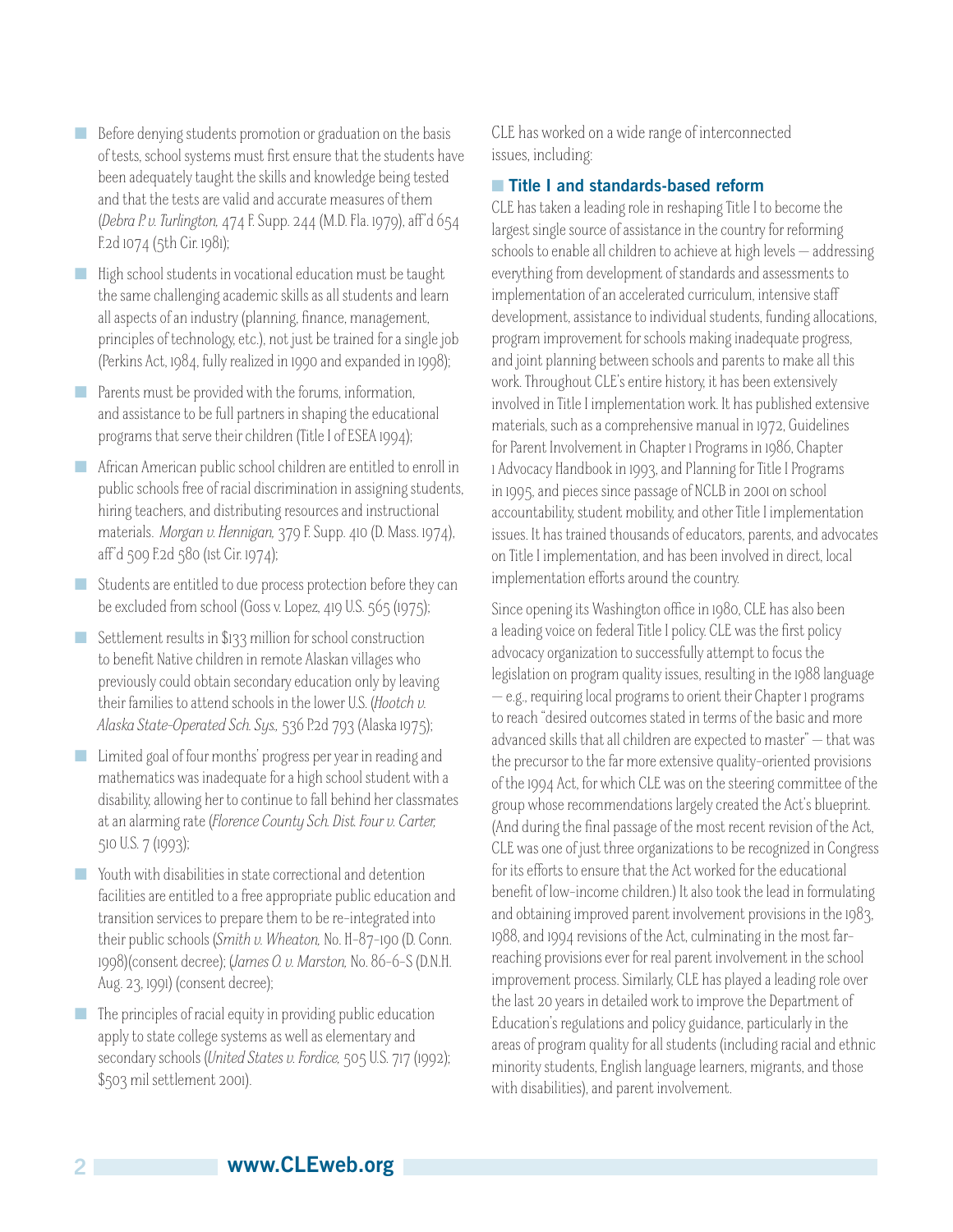- Before denying students promotion or graduation on the basis of tests, school systems must first ensure that the students have been adequately taught the skills and knowledge being tested and that the tests are valid and accurate measures of them (*Debra P. v. Turlington,* 474 F. Supp. 244 (M.D. Fla. 1979), aff 'd 654 F.2d 1074 (5th Cir. 1981);
- High school students in vocational education must be taught the same challenging academic skills as all students and learn all aspects of an industry (planning, finance, management, principles of technology, etc.), not just be trained for a single job (Perkins Act, 1984, fully realized in 1990 and expanded in 1998);
- Parents must be provided with the forums, information, and assistance to be full partners in shaping the educational programs that serve their children (Title I of ESEA 1994);
- African American public school children are entitled to enroll in public schools free of racial discrimination in assigning students, hiring teachers, and distributing resources and instructional materials. *Morgan v. Hennigan,* 379 F. Supp. 410 (D. Mass. 1974), aff'd 509 F.2d 580 (1st Cir. 1974);
- Students are entitled to due process protection before they can be excluded from school (Goss v. Lopez, 419 U.S. 565 (1975);
- Settlement results in \$133 million for school construction to benefit Native children in remote Alaskan villages who previously could obtain secondary education only by leaving their families to attend schools in the lower U.S. (*Hootch v. Alaska State-Operated Sch. Sys.,* 536 P.2d 793 (Alaska 1975);
- Limited goal of four months' progress per year in reading and mathematics was inadequate for a high school student with a disability, allowing her to continue to fall behind her classmates at an alarming rate (*Florence County Sch. Dist. Four v. Carter,*  510 U.S. 7 (1993);
- Youth with disabilities in state correctional and detention facilities are entitled to a free appropriate public education and transition services to prepare them to be re-integrated into their public schools (*Smith v. Wheaton,* No. H-87-190 (D. Conn. 1998)(consent decree); (*James O. v. Marston,* No. 86-6-S (D.N.H. Aug. 23, 1991) (consent decree);
- The principles of racial equity in providing public education apply to state college systems as well as elementary and secondary schools (*United States v. Fordice,* 505 U.S. 717 (1992); \$503 mil settlement 2001).

CLE has worked on a wide range of interconnected issues, including:

### ■ **Title I and standards-based reform**

CLE has taken a leading role in reshaping Title I to become the largest single source of assistance in the country for reforming schools to enable all children to achieve at high levels — addressing everything from development of standards and assessments to implementation of an accelerated curriculum, intensive staff development, assistance to individual students, funding allocations, program improvement for schools making inadequate progress, and joint planning between schools and parents to make all this work. Throughout CLE's entire history, it has been extensively involved in Title I implementation work. It has published extensive materials, such as a comprehensive manual in 1972, Guidelines for Parent Involvement in Chapter 1 Programs in 1986, Chapter 1 Advocacy Handbook in 1993, and Planning for Title I Programs in 1995, and pieces since passage of NCLB in 2001 on school accountability, student mobility, and other Title I implementation issues. It has trained thousands of educators, parents, and advocates on Title I implementation, and has been involved in direct, local implementation efforts around the country.

Since opening its Washington office in 1980, CLE has also been a leading voice on federal Title I policy. CLE was the first policy advocacy organization to successfully attempt to focus the legislation on program quality issues, resulting in the 1988 language — e.g., requiring local programs to orient their Chapter 1 programs to reach "desired outcomes stated in terms of the basic and more advanced skills that all children are expected to master" — that was the precursor to the far more extensive quality-oriented provisions of the 1994 Act, for which CLE was on the steering committee of the group whose recommendations largely created the Act's blueprint. (And during the final passage of the most recent revision of the Act, CLE was one of just three organizations to be recognized in Congress for its efforts to ensure that the Act worked for the educational benefit of low-income children.) It also took the lead in formulating and obtaining improved parent involvement provisions in the 1983, 1988, and 1994 revisions of the Act, culminating in the most farreaching provisions ever for real parent involvement in the school improvement process. Similarly, CLE has played a leading role over the last 20 years in detailed work to improve the Department of Education's regulations and policy guidance, particularly in the areas of program quality for all students (including racial and ethnic minority students, English language learners, migrants, and those with disabilities), and parent involvement.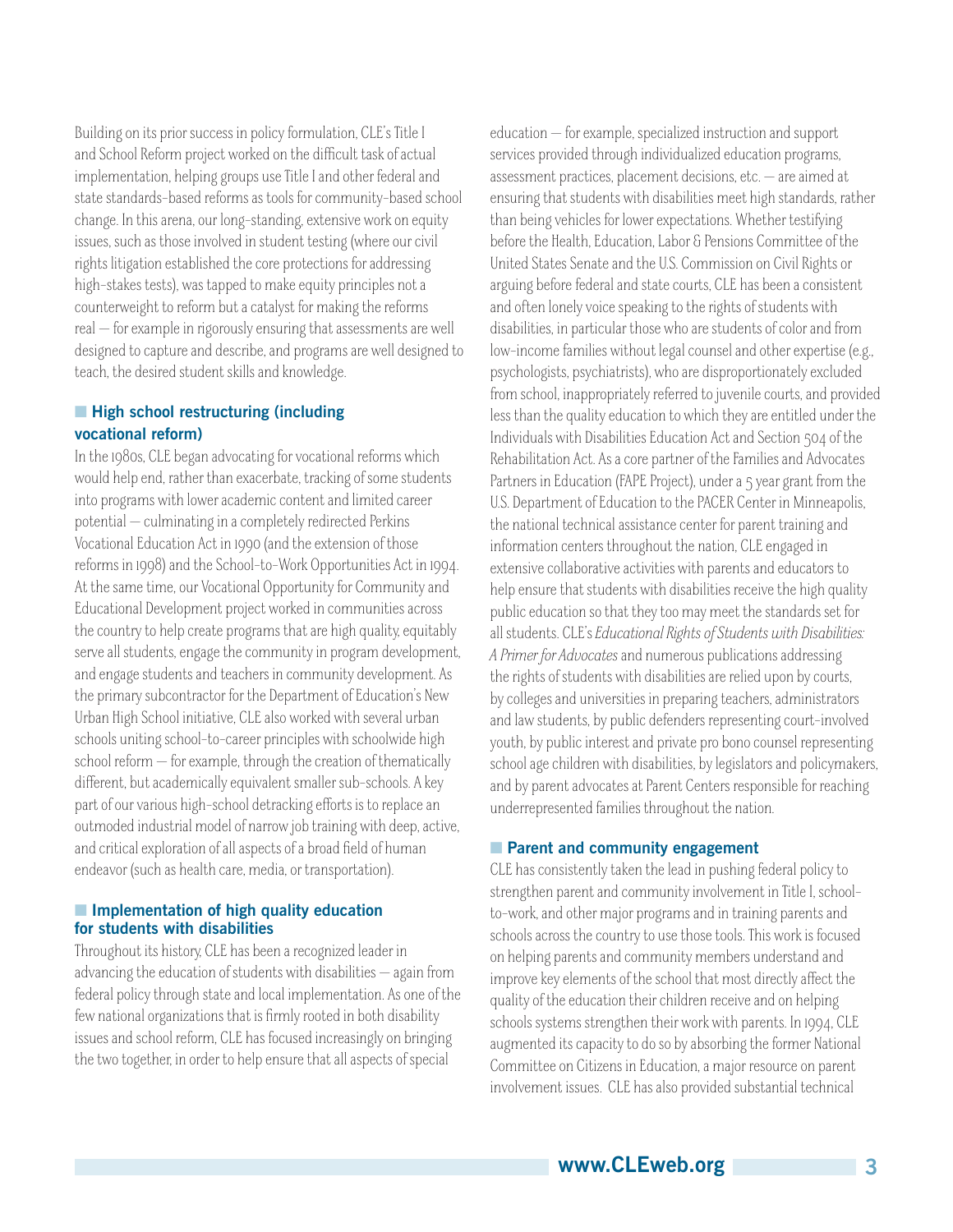Building on its prior success in policy formulation, CLE's Title I and School Reform project worked on the difficult task of actual implementation, helping groups use Title I and other federal and state standards-based reforms as tools for community-based school change. In this arena, our long-standing, extensive work on equity issues, such as those involved in student testing (where our civil rights litigation established the core protections for addressing high-stakes tests), was tapped to make equity principles not a counterweight to reform but a catalyst for making the reforms real — for example in rigorously ensuring that assessments are well designed to capture and describe, and programs are well designed to teach, the desired student skills and knowledge.

### ■ **High school restructuring (including vocational reform)**

In the 1980s, CLE began advocating for vocational reforms which would help end, rather than exacerbate, tracking of some students into programs with lower academic content and limited career potential — culminating in a completely redirected Perkins Vocational Education Act in 1990 (and the extension of those reforms in 1998) and the School-to-Work Opportunities Act in 1994. At the same time, our Vocational Opportunity for Community and Educational Development project worked in communities across the country to help create programs that are high quality, equitably serve all students, engage the community in program development, and engage students and teachers in community development. As the primary subcontractor for the Department of Education's New Urban High School initiative, CLE also worked with several urban schools uniting school-to-career principles with schoolwide high school reform — for example, through the creation of thematically different, but academically equivalent smaller sub-schools. A key part of our various high-school detracking efforts is to replace an outmoded industrial model of narrow job training with deep, active, and critical exploration of all aspects of a broad field of human endeavor (such as health care, media, or transportation).

### ■ **Implementation of high quality education for students with disabilities**

Throughout its history, CLE has been a recognized leader in advancing the education of students with disabilities — again from federal policy through state and local implementation. As one of the few national organizations that is firmly rooted in both disability issues and school reform, CLE has focused increasingly on bringing the two together, in order to help ensure that all aspects of special

education — for example, specialized instruction and support services provided through individualized education programs, assessment practices, placement decisions, etc. — are aimed at ensuring that students with disabilities meet high standards, rather than being vehicles for lower expectations. Whether testifying before the Health, Education, Labor & Pensions Committee of the United States Senate and the U.S. Commission on Civil Rights or arguing before federal and state courts, CLE has been a consistent and often lonely voice speaking to the rights of students with disabilities, in particular those who are students of color and from low-income families without legal counsel and other expertise (e.g., psychologists, psychiatrists), who are disproportionately excluded from school, inappropriately referred to juvenile courts, and provided less than the quality education to which they are entitled under the Individuals with Disabilities Education Act and Section 504 of the Rehabilitation Act. As a core partner of the Families and Advocates Partners in Education (FAPE Project), under a 5 year grant from the U.S. Department of Education to the PACER Center in Minneapolis, the national technical assistance center for parent training and information centers throughout the nation, CLE engaged in extensive collaborative activities with parents and educators to help ensure that students with disabilities receive the high quality public education so that they too may meet the standards set for all students. CLE's *Educational Rights of Students with Disabilities: A Primer for Advocates* and numerous publications addressing the rights of students with disabilities are relied upon by courts, by colleges and universities in preparing teachers, administrators and law students, by public defenders representing court-involved youth, by public interest and private pro bono counsel representing school age children with disabilities, by legislators and policymakers, and by parent advocates at Parent Centers responsible for reaching underrepresented families throughout the nation.

### ■ **Parent and community engagement**

CLE has consistently taken the lead in pushing federal policy to strengthen parent and community involvement in Title I, schoolto-work, and other major programs and in training parents and schools across the country to use those tools. This work is focused on helping parents and community members understand and improve key elements of the school that most directly affect the quality of the education their children receive and on helping schools systems strengthen their work with parents. In 1994, CLE augmented its capacity to do so by absorbing the former National Committee on Citizens in Education, a major resource on parent involvement issues. CLE has also provided substantial technical